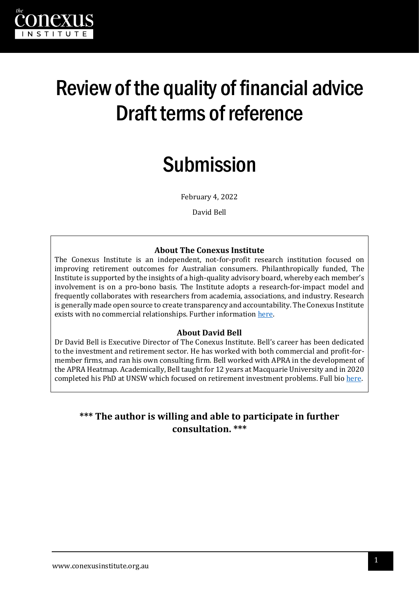

# Review of the quality of financial advice Draft terms of reference

# Submission

February 4, 2022

David Bell

#### **About The Conexus Institute**

The Conexus Institute is an independent, not-for-profit research institution focused on improving retirement outcomes for Australian consumers. Philanthropically funded, The Institute is supported by the insights of a high-quality advisory board, whereby each member's involvement is on a pro-bono basis. The Institute adopts a research-for-impact model and frequently collaborates with researchers from academia, associations, and industry. Research is generally made open source to create transparency and accountability. The Conexus Institute exists with no commercial relationships. Further informatio[n here.](https://theconexusinstitute.org.au/)

#### **About David Bell**

Dr David Bell is Executive Director of The Conexus Institute. Bell's career has been dedicated to the investment and retirement sector. He has worked with both commercial and profit-formember firms, and ran his own consulting firm. Bell worked with APRA in the development of the APRA Heatmap. Academically, Bell taught for 12 years at Macquarie University and in 2020 completed his PhD at UNSW which focused on retirement investment problems. Full bio [here.](https://theconexusinstitute.org.au/about/)

### **\*\*\* The author is willing and able to participate in further consultation. \*\*\***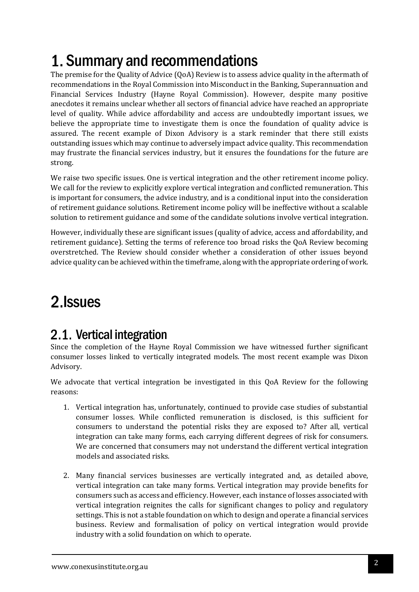# 1. Summary and recommendations

The premise for the Quality of Advice (QoA) Review is to assess advice quality in the aftermath of recommendations in the Royal Commission into Misconduct in the Banking, Superannuation and Financial Services Industry (Hayne Royal Commission). However, despite many positive anecdotes it remains unclear whether all sectors of financial advice have reached an appropriate level of quality. While advice affordability and access are undoubtedly important issues, we believe the appropriate time to investigate them is once the foundation of quality advice is assured. The recent example of Dixon Advisory is a stark reminder that there still exists outstanding issues which may continue to adversely impact advice quality. This recommendation may frustrate the financial services industry, but it ensures the foundations for the future are strong.

We raise two specific issues. One is vertical integration and the other retirement income policy. We call for the review to explicitly explore vertical integration and conflicted remuneration. This is important for consumers, the advice industry, and is a conditional input into the consideration of retirement guidance solutions. Retirement income policy will be ineffective without a scalable solution to retirement guidance and some of the candidate solutions involve vertical integration.

However, individually these are significant issues (quality of advice, access and affordability, and retirement guidance). Setting the terms of reference too broad risks the QoA Review becoming overstretched. The Review should consider whether a consideration of other issues beyond advice quality can be achieved within the timeframe, along with the appropriate ordering of work.

## 2. Issues

## 2.1. Vertical integration

Since the completion of the Hayne Royal Commission we have witnessed further significant consumer losses linked to vertically integrated models. The most recent example was Dixon Advisory.

We advocate that vertical integration be investigated in this QoA Review for the following reasons:

- 1. Vertical integration has, unfortunately, continued to provide case studies of substantial consumer losses. While conflicted remuneration is disclosed, is this sufficient for consumers to understand the potential risks they are exposed to? After all, vertical integration can take many forms, each carrying different degrees of risk for consumers. We are concerned that consumers may not understand the different vertical integration models and associated risks.
- 2. Many financial services businesses are vertically integrated and, as detailed above, vertical integration can take many forms. Vertical integration may provide benefits for consumers such as access and efficiency. However, each instance of losses associated with vertical integration reignites the calls for significant changes to policy and regulatory settings. This is not a stable foundation on which to design and operate a financial services business. Review and formalisation of policy on vertical integration would provide industry with a solid foundation on which to operate.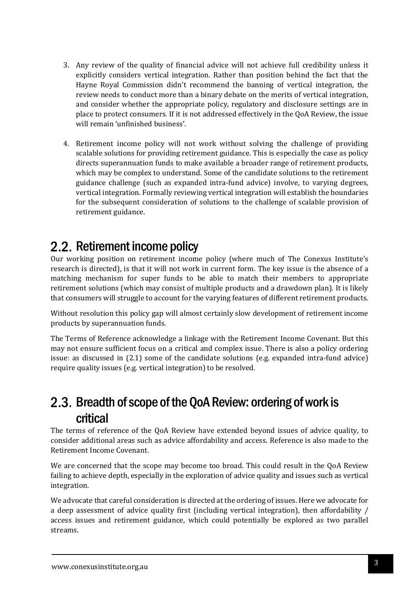- 3. Any review of the quality of financial advice will not achieve full credibility unless it explicitly considers vertical integration. Rather than position behind the fact that the Hayne Royal Commission didn't recommend the banning of vertical integration, the review needs to conduct more than a binary debate on the merits of vertical integration, and consider whether the appropriate policy, regulatory and disclosure settings are in place to protect consumers. If it is not addressed effectively in the QoA Review, the issue will remain 'unfinished business'.
- 4. Retirement income policy will not work without solving the challenge of providing scalable solutions for providing retirement guidance. This is especially the case as policy directs superannuation funds to make available a broader range of retirement products, which may be complex to understand. Some of the candidate solutions to the retirement guidance challenge (such as expanded intra-fund advice) involve, to varying degrees, vertical integration. Formally reviewing vertical integration will establish the boundaries for the subsequent consideration of solutions to the challenge of scalable provision of retirement guidance.

## 2.2. Retirement income policy

Our working position on retirement income policy (where much of The Conexus Institute's research is directed), is that it will not work in current form. The key issue is the absence of a matching mechanism for super funds to be able to match their members to appropriate retirement solutions (which may consist of multiple products and a drawdown plan). It is likely that consumers will struggle to account for the varying features of different retirement products.

Without resolution this policy gap will almost certainly slow development of retirement income products by superannuation funds.

The Terms of Reference acknowledge a linkage with the Retirement Income Covenant. But this may not ensure sufficient focus on a critical and complex issue. There is also a policy ordering issue: as discussed in (2.1) some of the candidate solutions (e.g. expanded intra-fund advice) require quality issues (e.g. vertical integration) to be resolved.

### 2.3. Breadth of scope of the QoA Review: ordering of work is critical

The terms of reference of the QoA Review have extended beyond issues of advice quality, to consider additional areas such as advice affordability and access. Reference is also made to the Retirement Income Covenant.

We are concerned that the scope may become too broad. This could result in the OoA Review failing to achieve depth, especially in the exploration of advice quality and issues such as vertical integration.

We advocate that careful consideration is directed at the ordering of issues. Here we advocate for a deep assessment of advice quality first (including vertical integration), then affordability / access issues and retirement guidance, which could potentially be explored as two parallel streams.